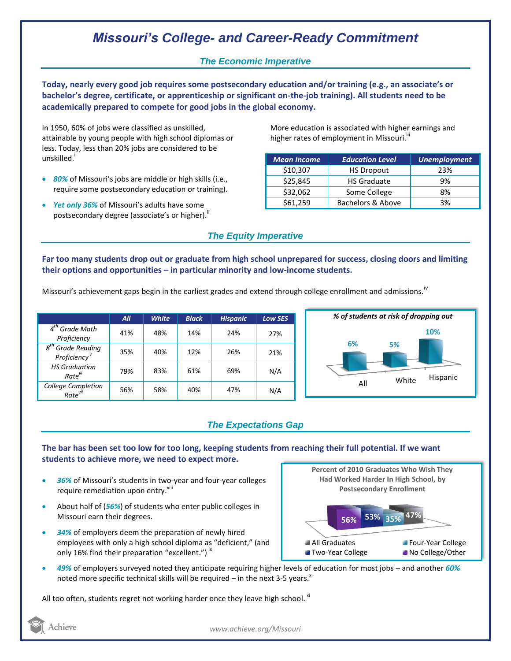# *Missouri's College- and Career-Ready Commitment*

### *The Economic Imperative*

**Today, nearly every good job requires some postsecondary education and/or training (e.g., an associate's or bachelor's degree, certificate, or apprenticeship or significant on-the-job training). All students need to be academically prepared to compete for good jobs in the global economy.**

In 1950, 60% of jobs were classified as unskilled, attainable by young people with high school diplomas or less. Today, less than 20% jobs are considered to be unskilled.<sup>1</sup>

- *80%* of Missouri's jobs are middle or high skills (i.e., require some postsecondary education or training).
- *Yet only 36%* of Missouri's adults have some postsecondary degree (associate's or higher). $^{\text{ii}}$

More education is associated with higher earnings and higher rates of employment in Missouri.<sup>""</sup>

| <b>Mean Income</b> | <b>Education Level</b> | <b>Unemployment</b> |
|--------------------|------------------------|---------------------|
| \$10,307           | <b>HS Dropout</b>      | 23%                 |
| \$25,845           | <b>HS Graduate</b>     | 9%                  |
| \$32,062           | Some College           | 8%                  |
| \$61,259           | Bachelors & Above      | 3%                  |

### *The Equity Imperative*

**Far too many students drop out or graduate from high school unprepared for success, closing doors and limiting their options and opportunities – in particular minority and low-income students.** 

Missouri's achievement gaps begin in the earliest grades and extend through college enrollment and admissions.<sup>iv</sup>

|                                                           | All | <b>White</b> | <b>Black</b> | <b>Hispanic</b> | <b>Low SES</b> |
|-----------------------------------------------------------|-----|--------------|--------------|-----------------|----------------|
| $4th$ Grade Math<br>Proficiency                           | 41% | 48%          | 14%          | 24%             | 27%            |
| 8 <sup>th</sup> Grade Reading<br>Proficiency <sup>v</sup> | 35% | 40%          | 12%          | 26%             | 21%            |
| <b>HS Graduation</b><br>Rate <sup>VI</sup>                | 79% | 83%          | 61%          | 69%             | N/A            |
| College Completion<br>Rate <sup>vii</sup>                 | 56% | 58%          | 40%          | 47%             | N/A            |



## *The Expectations Gap*

**The bar has been set too low for too long, keeping students from reaching their full potential. If we want students to achieve more, we need to expect more.**

- *36%* of Missouri's students in two-year and four-year colleges require remediation upon entry.<sup>viii</sup>
- About half of (*56%*) of students who enter public colleges in Missouri earn their degrees.
- *34%* of employers deem the preparation of newly hired employees with only a high school diploma as "deficient," (and only 16% find their preparation "excellent.")  $\dot{ }$   $\,$
- *49%* of employers surveyed noted they anticipate requiring higher levels of education for most jobs and another *60%* noted more specific technical skills will be required – in the next 3-5 years. $^x$

All too often, students regret not working harder once they leave high school.  $^{\text{xi}}$